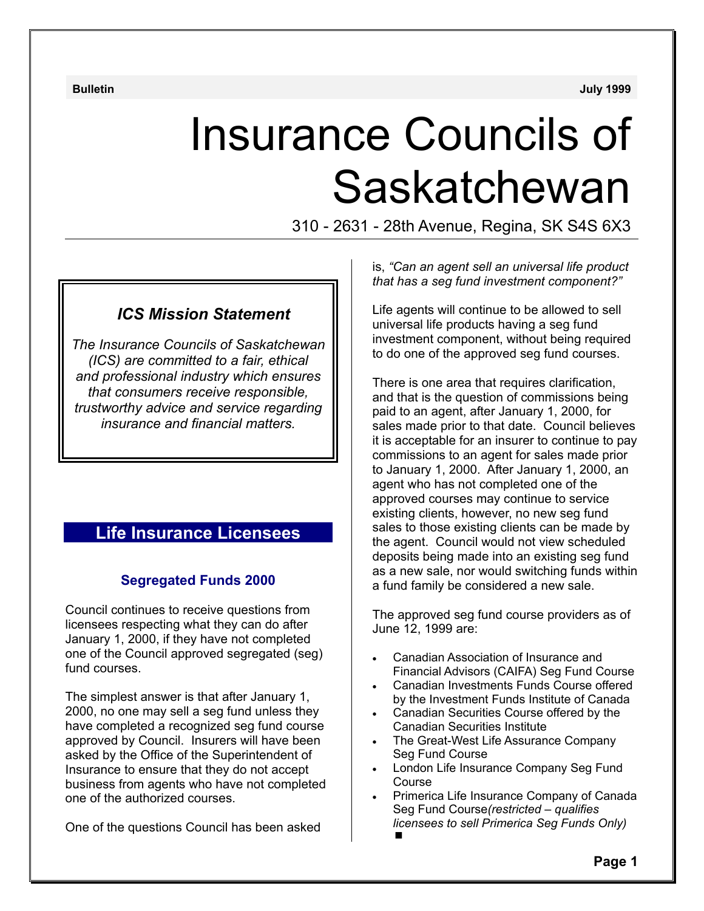**Bulletin July 1999**

# Insurance Councils of Saskatchewan

310 - 2631 - 28th Avenue, Regina, SK S4S 6X3

# *ICS Mission Statement*

*The Insurance Councils of Saskatchewan (ICS) are committed to a fair, ethical and professional industry which ensures that consumers receive responsible, trustworthy advice and service regarding insurance and financial matters.*

# **Life Insurance Licensees**

# **Segregated Funds 2000**

Council continues to receive questions from licensees respecting what they can do after January 1, 2000, if they have not completed one of the Council approved segregated (seg) fund courses.

The simplest answer is that after January 1, 2000, no one may sell a seg fund unless they have completed a recognized seg fund course approved by Council. Insurers will have been asked by the Office of the Superintendent of Insurance to ensure that they do not accept business from agents who have not completed one of the authorized courses.

One of the questions Council has been asked

is, *"Can an agent sell an universal life product that has a seg fund investment component?"* 

Life agents will continue to be allowed to sell universal life products having a seg fund investment component, without being required to do one of the approved seg fund courses.

There is one area that requires clarification, and that is the question of commissions being paid to an agent, after January 1, 2000, for sales made prior to that date. Council believes it is acceptable for an insurer to continue to pay commissions to an agent for sales made prior to January 1, 2000. After January 1, 2000, an agent who has not completed one of the approved courses may continue to service existing clients, however, no new seg fund sales to those existing clients can be made by the agent. Council would not view scheduled deposits being made into an existing seg fund as a new sale, nor would switching funds within a fund family be considered a new sale.

The approved seg fund course providers as of June 12, 1999 are:

- Canadian Association of Insurance and Financial Advisors (CAIFA) Seg Fund Course
- Canadian Investments Funds Course offered by the Investment Funds Institute of Canada
- Canadian Securities Course offered by the Canadian Securities Institute
- The Great-West Life Assurance Company Seg Fund Course
- London Life Insurance Company Seg Fund Course
- Primerica Life Insurance Company of Canada Seg Fund Course*(restricted – qualifies licensees to sell Primerica Seg Funds Only)*  $\blacksquare$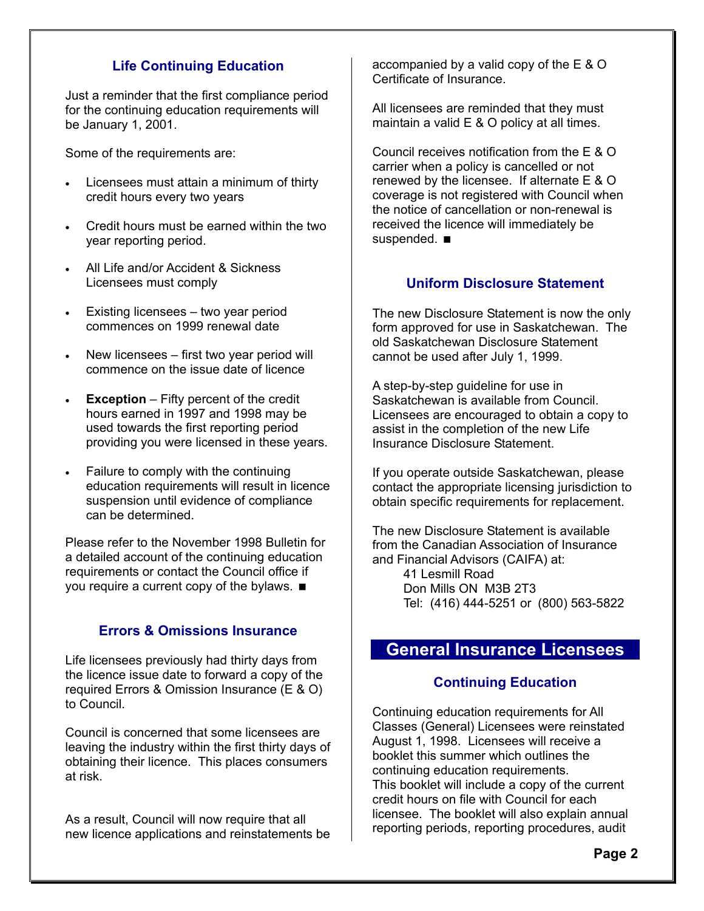# **Life Continuing Education**

Just a reminder that the first compliance period for the continuing education requirements will be January 1, 2001.

Some of the requirements are:

- Licensees must attain a minimum of thirty credit hours every two years
- Credit hours must be earned within the two year reporting period.
- All Life and/or Accident & Sickness Licensees must comply
- Existing licensees two year period commences on 1999 renewal date
- New licensees first two year period will commence on the issue date of licence
- **Exception** Fifty percent of the credit hours earned in 1997 and 1998 may be used towards the first reporting period providing you were licensed in these years.
- Failure to comply with the continuing education requirements will result in licence suspension until evidence of compliance can be determined.

Please refer to the November 1998 Bulletin for a detailed account of the continuing education requirements or contact the Council office if you require a current copy of the bylaws.

# **Errors & Omissions Insurance**

Life licensees previously had thirty days from the licence issue date to forward a copy of the required Errors & Omission Insurance (E & O) to Council.

Council is concerned that some licensees are leaving the industry within the first thirty days of obtaining their licence. This places consumers at risk.

As a result, Council will now require that all new licence applications and reinstatements be accompanied by a valid copy of the E & O Certificate of Insurance.

All licensees are reminded that they must maintain a valid E & O policy at all times.

Council receives notification from the E & O carrier when a policy is cancelled or not renewed by the licensee. If alternate E & O coverage is not registered with Council when the notice of cancellation or non-renewal is received the licence will immediately be suspended.  $\blacksquare$ 

# **Uniform Disclosure Statement**

The new Disclosure Statement is now the only form approved for use in Saskatchewan. The old Saskatchewan Disclosure Statement cannot be used after July 1, 1999.

A step-by-step guideline for use in Saskatchewan is available from Council. Licensees are encouraged to obtain a copy to assist in the completion of the new Life Insurance Disclosure Statement.

If you operate outside Saskatchewan, please contact the appropriate licensing jurisdiction to obtain specific requirements for replacement.

The new Disclosure Statement is available from the Canadian Association of Insurance and Financial Advisors (CAIFA) at:

> 41 Lesmill Road Don Mills ON M3B 2T3 Tel: (416) 444-5251 or (800) 563-5822

# **General Insurance Licensees**

### **Continuing Education**

Continuing education requirements for All Classes (General) Licensees were reinstated August 1, 1998. Licensees will receive a booklet this summer which outlines the continuing education requirements. This booklet will include a copy of the current credit hours on file with Council for each licensee. The booklet will also explain annual reporting periods, reporting procedures, audit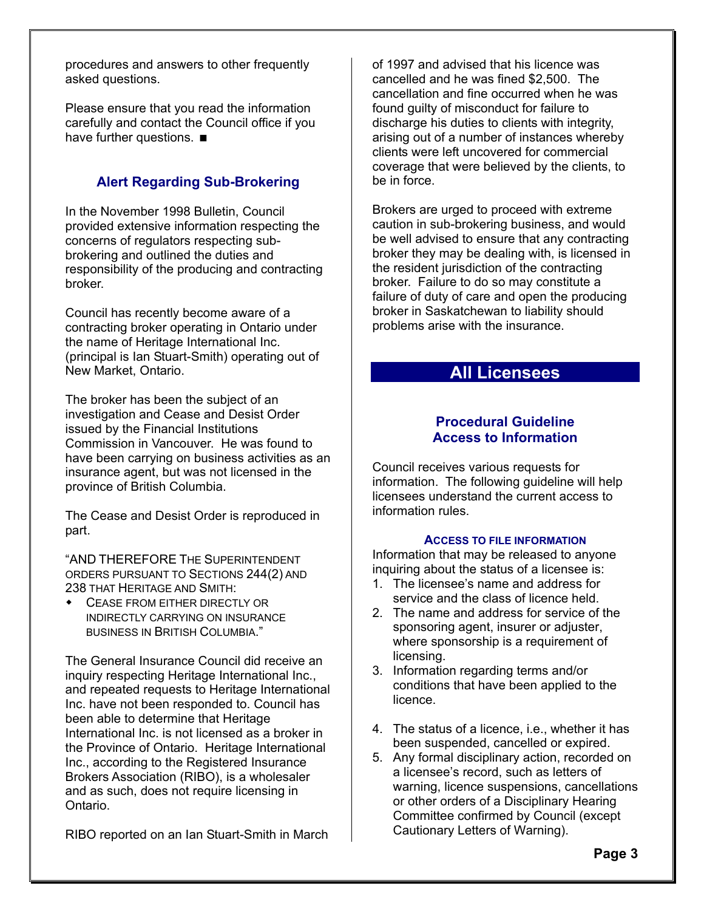procedures and answers to other frequently asked questions.

Please ensure that you read the information carefully and contact the Council office if you have further questions.  $\blacksquare$ 

# **Alert Regarding Sub-Brokering**

In the November 1998 Bulletin, Council provided extensive information respecting the concerns of regulators respecting subbrokering and outlined the duties and responsibility of the producing and contracting broker.

Council has recently become aware of a contracting broker operating in Ontario under the name of Heritage International Inc. (principal is Ian Stuart-Smith) operating out of New Market, Ontario.

The broker has been the subject of an investigation and Cease and Desist Order issued by the Financial Institutions Commission in Vancouver. He was found to have been carrying on business activities as an insurance agent, but was not licensed in the province of British Columbia.

The Cease and Desist Order is reproduced in part.

"AND THEREFORE THE SUPERINTENDENT ORDERS PURSUANT TO SECTIONS 244(2) AND 238 THAT HERITAGE AND SMITH:

 CEASE FROM EITHER DIRECTLY OR INDIRECTLY CARRYING ON INSURANCE BUSINESS IN BRITISH COLUMBIA."

The General Insurance Council did receive an inquiry respecting Heritage International Inc., and repeated requests to Heritage International Inc. have not been responded to. Council has been able to determine that Heritage International Inc. is not licensed as a broker in the Province of Ontario. Heritage International Inc., according to the Registered Insurance Brokers Association (RIBO), is a wholesaler and as such, does not require licensing in Ontario.

RIBO reported on an Ian Stuart-Smith in March

of 1997 and advised that his licence was cancelled and he was fined \$2,500. The cancellation and fine occurred when he was found guilty of misconduct for failure to discharge his duties to clients with integrity, arising out of a number of instances whereby clients were left uncovered for commercial coverage that were believed by the clients, to be in force.

Brokers are urged to proceed with extreme caution in sub-brokering business, and would be well advised to ensure that any contracting broker they may be dealing with, is licensed in the resident jurisdiction of the contracting broker. Failure to do so may constitute a failure of duty of care and open the producing broker in Saskatchewan to liability should problems arise with the insurance.

# **All Licensees**

# **Procedural Guideline Access to Information**

Council receives various requests for information. The following guideline will help licensees understand the current access to information rules.

#### **ACCESS TO FILE INFORMATION**

Information that may be released to anyone inquiring about the status of a licensee is:

- 1. The licensee's name and address for service and the class of licence held.
- 2. The name and address for service of the sponsoring agent, insurer or adjuster, where sponsorship is a requirement of licensing.
- 3. Information regarding terms and/or conditions that have been applied to the licence.
- 4. The status of a licence, i.e., whether it has been suspended, cancelled or expired.
- 5. Any formal disciplinary action, recorded on a licensee's record, such as letters of warning, licence suspensions, cancellations or other orders of a Disciplinary Hearing Committee confirmed by Council (except Cautionary Letters of Warning).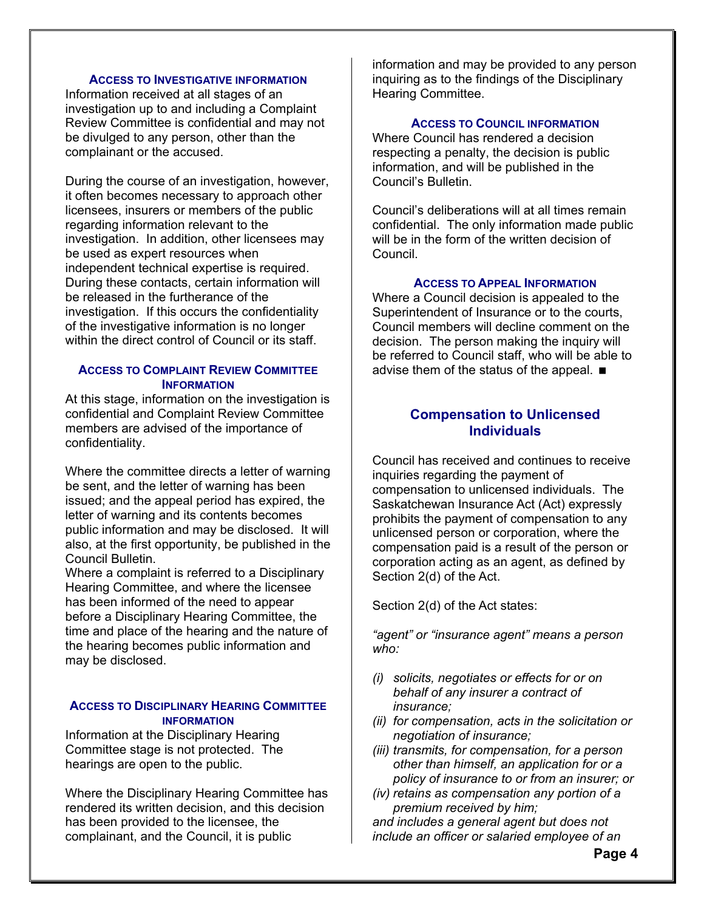#### **ACCESS TO INVESTIGATIVE INFORMATION**

Information received at all stages of an investigation up to and including a Complaint Review Committee is confidential and may not be divulged to any person, other than the complainant or the accused.

During the course of an investigation, however, it often becomes necessary to approach other licensees, insurers or members of the public regarding information relevant to the investigation. In addition, other licensees may be used as expert resources when independent technical expertise is required. During these contacts, certain information will be released in the furtherance of the investigation. If this occurs the confidentiality of the investigative information is no longer within the direct control of Council or its staff.

#### **ACCESS TO COMPLAINT REVIEW COMMITTEE INFORMATION**

At this stage, information on the investigation is confidential and Complaint Review Committee members are advised of the importance of confidentiality.

Where the committee directs a letter of warning be sent, and the letter of warning has been issued; and the appeal period has expired, the letter of warning and its contents becomes public information and may be disclosed. It will also, at the first opportunity, be published in the Council Bulletin.

Where a complaint is referred to a Disciplinary Hearing Committee, and where the licensee has been informed of the need to appear before a Disciplinary Hearing Committee, the time and place of the hearing and the nature of the hearing becomes public information and may be disclosed.

#### **ACCESS TO DISCIPLINARY HEARING COMMITTEE INFORMATION**

Information at the Disciplinary Hearing Committee stage is not protected. The hearings are open to the public.

Where the Disciplinary Hearing Committee has rendered its written decision, and this decision has been provided to the licensee, the complainant, and the Council, it is public

information and may be provided to any person inquiring as to the findings of the Disciplinary Hearing Committee.

#### **ACCESS TO COUNCIL INFORMATION**

Where Council has rendered a decision respecting a penalty, the decision is public information, and will be published in the Council's Bulletin.

Council's deliberations will at all times remain confidential. The only information made public will be in the form of the written decision of Council.

#### **ACCESS TO APPEAL INFORMATION**

Where a Council decision is appealed to the Superintendent of Insurance or to the courts, Council members will decline comment on the decision. The person making the inquiry will be referred to Council staff, who will be able to advise them of the status of the appeal.

# **Compensation to Unlicensed Individuals**

Council has received and continues to receive inquiries regarding the payment of compensation to unlicensed individuals. The Saskatchewan Insurance Act (Act) expressly prohibits the payment of compensation to any unlicensed person or corporation, where the compensation paid is a result of the person or corporation acting as an agent, as defined by Section 2(d) of the Act.

Section 2(d) of the Act states:

*"agent" or "insurance agent" means a person who:* 

- *(i) solicits, negotiates or effects for or on behalf of any insurer a contract of insurance;*
- *(ii) for compensation, acts in the solicitation or negotiation of insurance;*
- *(iii) transmits, for compensation, for a person other than himself, an application for or a policy of insurance to or from an insurer; or*
- *(iv) retains as compensation any portion of a premium received by him;*

*and includes a general agent but does not include an officer or salaried employee of an*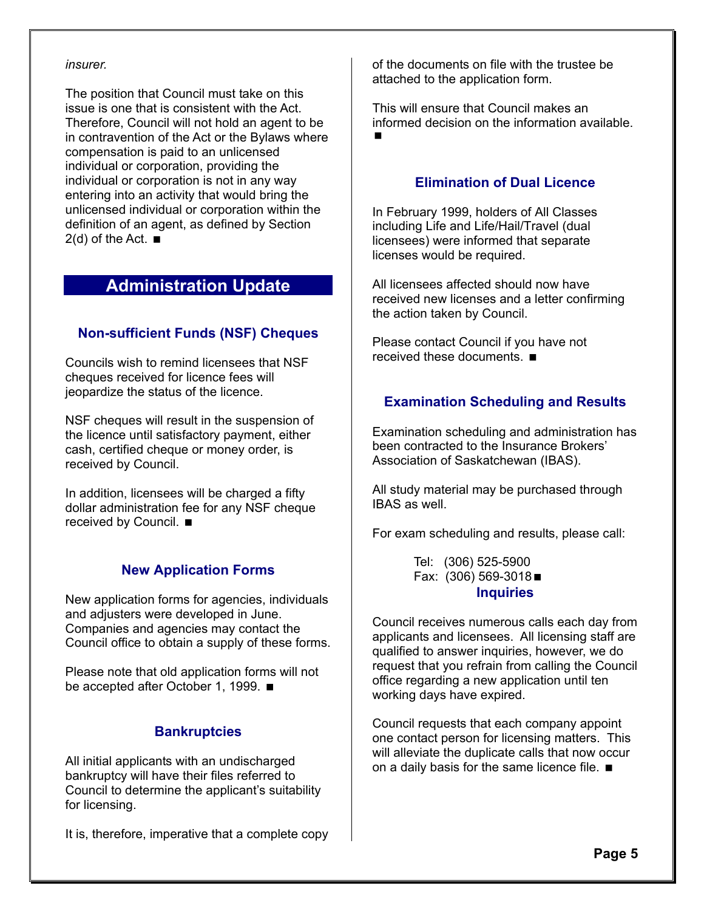#### *insurer.*

The position that Council must take on this issue is one that is consistent with the Act. Therefore, Council will not hold an agent to be in contravention of the Act or the Bylaws where compensation is paid to an unlicensed individual or corporation, providing the individual or corporation is not in any way entering into an activity that would bring the unlicensed individual or corporation within the definition of an agent, as defined by Section  $2(d)$  of the Act.  $\blacksquare$ 

# **Administration Update**

# **Non-sufficient Funds (NSF) Cheques**

Councils wish to remind licensees that NSF cheques received for licence fees will jeopardize the status of the licence.

NSF cheques will result in the suspension of the licence until satisfactory payment, either cash, certified cheque or money order, is received by Council.

In addition, licensees will be charged a fifty dollar administration fee for any NSF cheque received by Council. ■

# **New Application Forms**

New application forms for agencies, individuals and adjusters were developed in June. Companies and agencies may contact the Council office to obtain a supply of these forms.

Please note that old application forms will not be accepted after October 1, 1999. ■

# **Bankruptcies**

All initial applicants with an undischarged bankruptcy will have their files referred to Council to determine the applicant's suitability for licensing.

It is, therefore, imperative that a complete copy

of the documents on file with the trustee be attached to the application form.

This will ensure that Council makes an informed decision on the information available.  $\blacksquare$ 

# **Elimination of Dual Licence**

In February 1999, holders of All Classes including Life and Life/Hail/Travel (dual licensees) were informed that separate licenses would be required.

All licensees affected should now have received new licenses and a letter confirming the action taken by Council.

Please contact Council if you have not received these documents.

# **Examination Scheduling and Results**

Examination scheduling and administration has been contracted to the Insurance Brokers' Association of Saskatchewan (IBAS).

All study material may be purchased through IBAS as well.

For exam scheduling and results, please call:

 Tel: (306) 525-5900 Fax: (306) 569-3018 **Inquiries** 

Council receives numerous calls each day from applicants and licensees. All licensing staff are qualified to answer inquiries, however, we do request that you refrain from calling the Council office regarding a new application until ten working days have expired.

Council requests that each company appoint one contact person for licensing matters. This will alleviate the duplicate calls that now occur on a daily basis for the same licence file.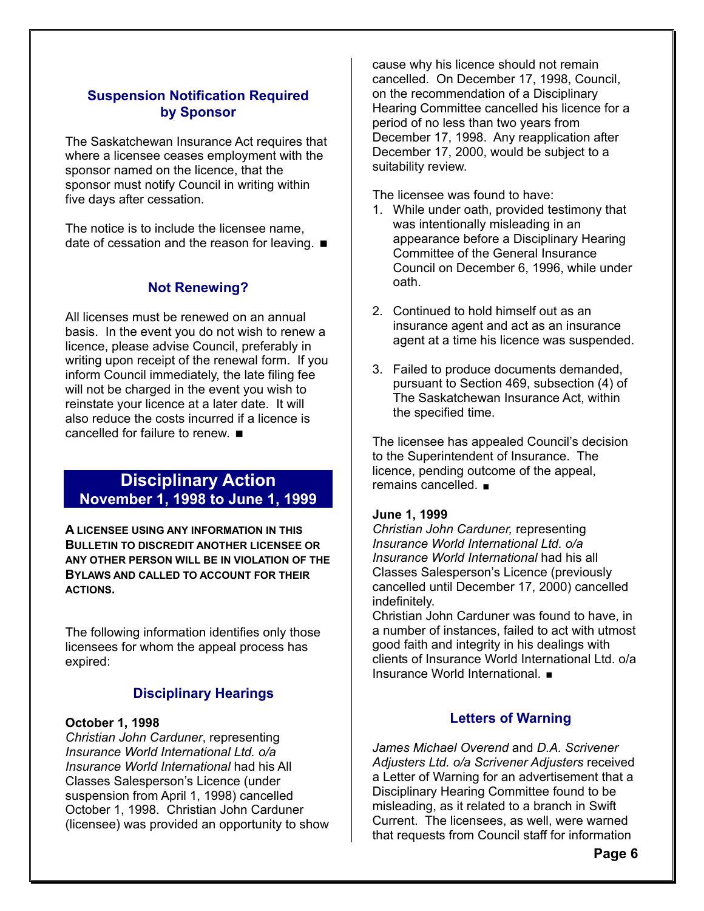# **Suspension Notification Required by Sponsor**

The Saskatchewan Insurance Act requires that where a licensee ceases employment with the sponsor named on the licence, that the sponsor must notify Council in writing within five days after cessation.

The notice is to include the licensee name, date of cessation and the reason for leaving.  $\blacksquare$ 

# **Not Renewing?**

All licenses must be renewed on an annual basis. In the event you do not wish to renew a licence, please advise Council, preferably in writing upon receipt of the renewal form. If you inform Council immediately, the late filing fee will not be charged in the event you wish to reinstate your licence at a later date. It will also reduce the costs incurred if a licence is cancelled for failure to renew.

# **Disciplinary Action November 1, 1998 to June 1, 1999**

**A LICENSEE USING ANY INFORMATION IN THIS BULLETIN TO DISCREDIT ANOTHER LICENSEE OR ANY OTHER PERSON WILL BE IN VIOLATION OF THE BYLAWS AND CALLED TO ACCOUNT FOR THEIR ACTIONS.** 

The following information identifies only those licensees for whom the appeal process has expired:

# **Disciplinary Hearings**

#### **October 1, 1998**

*Christian John Carduner*, representing *Insurance World International Ltd. o/a Insurance World International* had his All Classes Salesperson's Licence (under suspension from April 1, 1998) cancelled October 1, 1998. Christian John Carduner (licensee) was provided an opportunity to show cause why his licence should not remain cancelled. On December 17, 1998, Council, on the recommendation of a Disciplinary Hearing Committee cancelled his licence for a period of no less than two years from December 17, 1998. Any reapplication after December 17, 2000, would be subject to a suitability review.

The licensee was found to have:

- 1. While under oath, provided testimony that was intentionally misleading in an appearance before a Disciplinary Hearing Committee of the General Insurance Council on December 6, 1996, while under oath.
- 2. Continued to hold himself out as an insurance agent and act as an insurance agent at a time his licence was suspended.
- 3. Failed to produce documents demanded, pursuant to Section 469, subsection (4) of The Saskatchewan Insurance Act, within the specified time.

The licensee has appealed Council's decision to the Superintendent of Insurance. The licence, pending outcome of the appeal, remains cancelled.

#### **June 1, 1999**

*Christian John Carduner,* representing *Insurance World International Ltd. o/a Insurance World International* had his all Classes Salesperson's Licence (previously cancelled until December 17, 2000) cancelled indefinitely.

Christian John Carduner was found to have, in a number of instances, failed to act with utmost good faith and integrity in his dealings with clients of Insurance World International Ltd. o/a Insurance World International.

# **Letters of Warning**

*James Michael Overend* and *D.A. Scrivener Adjusters Ltd. o/a Scrivener Adjusters* received a Letter of Warning for an advertisement that a Disciplinary Hearing Committee found to be misleading, as it related to a branch in Swift Current. The licensees, as well, were warned that requests from Council staff for information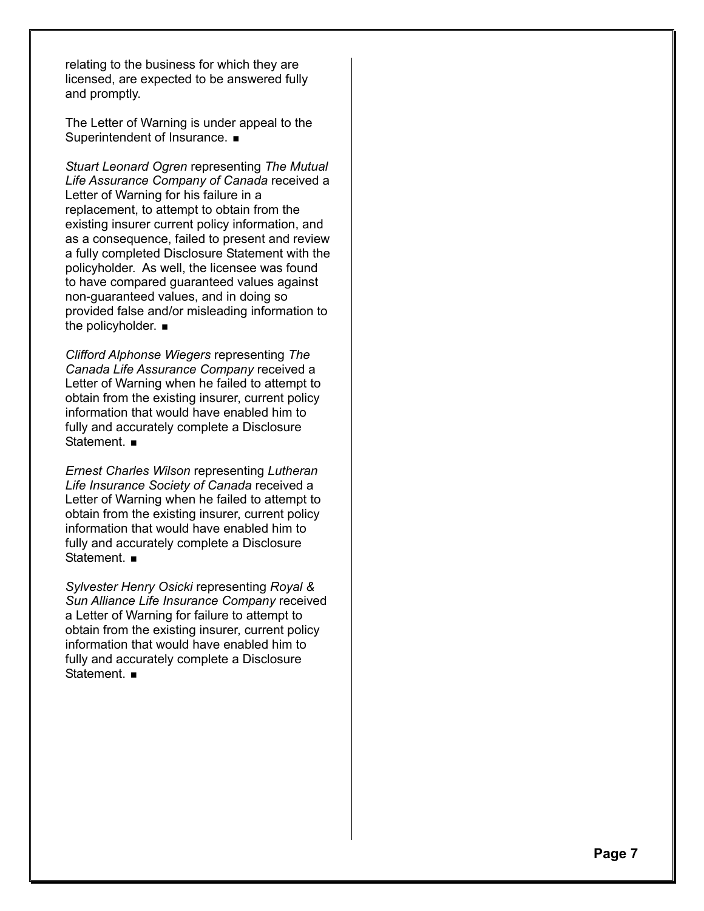relating to the business for which they are licensed, are expected to be answered fully and promptly.

The Letter of Warning is under appeal to the Superintendent of Insurance.  $\blacksquare$ 

*Stuart Leonard Ogren* representing *The Mutual Life Assurance Company of Canada* received a Letter of Warning for his failure in a replacement, to attempt to obtain from the existing insurer current policy information, and as a consequence, failed to present and review a fully completed Disclosure Statement with the policyholder. As well, the licensee was found to have compared guaranteed values against non-guaranteed values, and in doing so provided false and/or misleading information to the policyholder.  $\blacksquare$ 

*Clifford Alphonse Wiegers* representing *The Canada Life Assurance Company* received a Letter of Warning when he failed to attempt to obtain from the existing insurer, current policy information that would have enabled him to fully and accurately complete a Disclosure Statement. **■** 

*Ernest Charles Wilson* representing *Lutheran Life Insurance Society of Canada* received a Letter of Warning when he failed to attempt to obtain from the existing insurer, current policy information that would have enabled him to fully and accurately complete a Disclosure Statement. **■** 

*Sylvester Henry Osicki* representing *Royal & Sun Alliance Life Insurance Company* received a Letter of Warning for failure to attempt to obtain from the existing insurer, current policy information that would have enabled him to fully and accurately complete a Disclosure Statement.  $\blacksquare$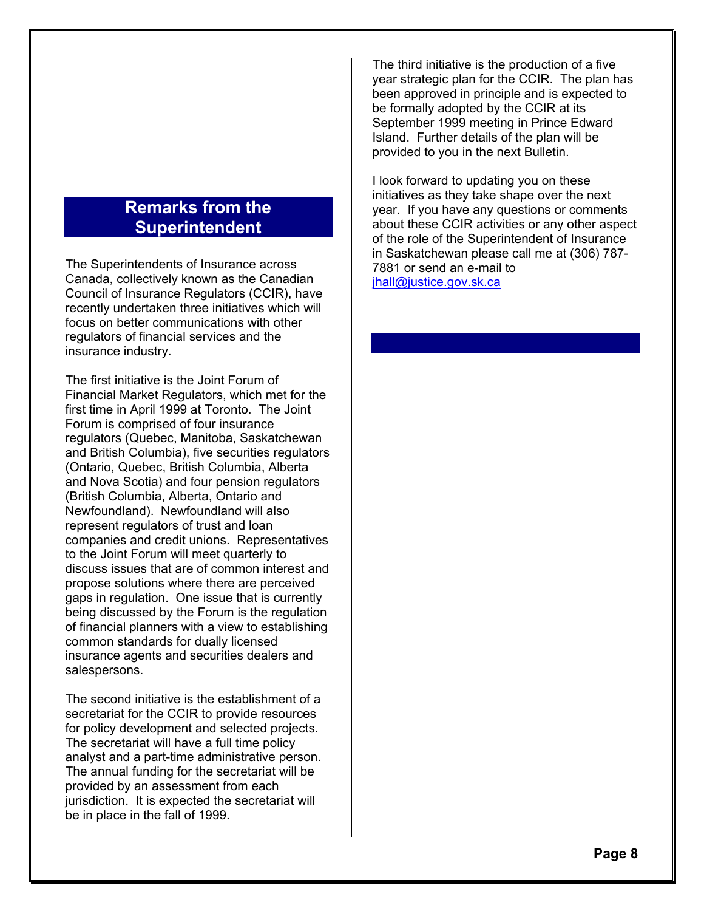# **Remarks from the Superintendent**

The Superintendents of Insurance across Canada, collectively known as the Canadian Council of Insurance Regulators (CCIR), have recently undertaken three initiatives which will focus on better communications with other regulators of financial services and the insurance industry.

The first initiative is the Joint Forum of Financial Market Regulators, which met for the first time in April 1999 at Toronto. The Joint Forum is comprised of four insurance regulators (Quebec, Manitoba, Saskatchewan and British Columbia), five securities regulators (Ontario, Quebec, British Columbia, Alberta and Nova Scotia) and four pension regulators (British Columbia, Alberta, Ontario and Newfoundland). Newfoundland will also represent regulators of trust and loan companies and credit unions. Representatives to the Joint Forum will meet quarterly to discuss issues that are of common interest and propose solutions where there are perceived gaps in regulation. One issue that is currently being discussed by the Forum is the regulation of financial planners with a view to establishing common standards for dually licensed insurance agents and securities dealers and salespersons.

The second initiative is the establishment of a secretariat for the CCIR to provide resources for policy development and selected projects. The secretariat will have a full time policy analyst and a part-time administrative person. The annual funding for the secretariat will be provided by an assessment from each jurisdiction. It is expected the secretariat will be in place in the fall of 1999.

The third initiative is the production of a five year strategic plan for the CCIR. The plan has been approved in principle and is expected to be formally adopted by the CCIR at its September 1999 meeting in Prince Edward Island. Further details of the plan will be provided to you in the next Bulletin.

I look forward to updating you on these initiatives as they take shape over the next year. If you have any questions or comments about these CCIR activities or any other aspect of the role of the Superintendent of Insurance in Saskatchewan please call me at (306) 787- 7881 or send an e-mail to ihall@justice.gov.sk.ca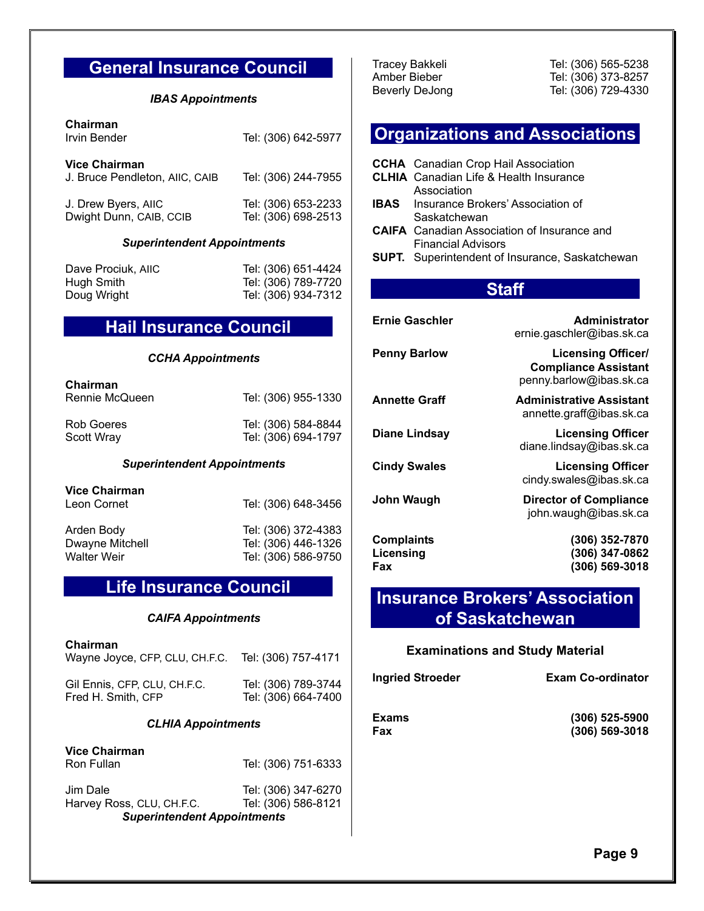# **General Insurance Council**

#### *IBAS Appointments*

| Chairman<br>Irvin Bender                               | Tel: (306) 642-5977                        |
|--------------------------------------------------------|--------------------------------------------|
| <b>Vice Chairman</b><br>J. Bruce Pendleton, AIIC, CAIB | Tel: (306) 244-7955                        |
| J. Drew Byers, AIIC<br>Dwight Dunn, CAIB, CCIB         | Tel: (306) 653-2233<br>Tel: (306) 698-2513 |

#### *Superintendent Appointments*

Dave Prociuk, AIIC Tel: (306) 651-4424 Hugh Smith Tel: (306) 789-7720

Doug Wright Tel: (306) 934-7312

# **Hail Insurance Council**

#### *CCHA Appointments*

| Chairman<br>Rennie McQueen | Tel: (306) 955-1330 |
|----------------------------|---------------------|
| Rob Goeres                 | Tel: (306) 584-8844 |
| Scott Wray                 | Tel: (306) 694-1797 |

#### *Superintendent Appointments*

**Vice Chairman** Leon Cornet Tel: (306) 648-3456 Arden Body Tel: (306) 372-4383 Dwayne Mitchell Tel: (306) 446-1326 Tel: (306) 586-9750

# **Life Insurance Council**

#### *CAIFA Appointments*

**Chairman**

| Gil Ennis, CFP, CLU, CH.F.C. | Tel: (306) 789-3744 |
|------------------------------|---------------------|
| Fred H. Smith, CFP           | Tel: (306) 664-7400 |

#### *CLHIA Appointments*

**Vice Chairman** Ron Fullan Tel: (306) 751-6333 Jim Dale Tel: (306) 347-6270<br>Harvey Ross, CLU, CH.F.C. Tel: (306) 586-8121 Harvey Ross, CLU, CH.F.C.

 *Superintendent Appointments*

Tracey Bakkeli Tel: (306) 565-5238 Amber Bieber Tel: (306) 373-8257 Beverly DeJong Tel: (306) 729-4330

# **Organizations and Associations**

| IBAS<br>SUPT.                         | <b>CCHA</b> Canadian Crop Hail Association<br><b>CLHIA</b> Canadian Life & Health Insurance<br>Association<br>Insurance Brokers' Association of<br>Saskatchewan<br><b>CAIFA</b> Canadian Association of Insurance and<br><b>Financial Advisors</b><br>Superintendent of Insurance, Saskatchewan |                                                                                     |
|---------------------------------------|-------------------------------------------------------------------------------------------------------------------------------------------------------------------------------------------------------------------------------------------------------------------------------------------------|-------------------------------------------------------------------------------------|
|                                       | <b>Staff</b>                                                                                                                                                                                                                                                                                    |                                                                                     |
|                                       | <b>Ernie Gaschler</b>                                                                                                                                                                                                                                                                           | Administrator<br>ernie.gaschler@ibas.sk.ca                                          |
| <b>Penny Barlow</b>                   |                                                                                                                                                                                                                                                                                                 | <b>Licensing Officer/</b><br><b>Compliance Assistant</b><br>penny.barlow@ibas.sk.ca |
| <b>Annette Graff</b>                  |                                                                                                                                                                                                                                                                                                 | <b>Administrative Assistant</b><br>annette.graff@ibas.sk.ca                         |
|                                       | <b>Diane Lindsay</b>                                                                                                                                                                                                                                                                            | <b>Licensing Officer</b><br>diane.lindsay@ibas.sk.ca                                |
| <b>Cindy Swales</b>                   |                                                                                                                                                                                                                                                                                                 | <b>Licensing Officer</b><br>cindy.swales@ibas.sk.ca                                 |
| <b>John Waugh</b>                     |                                                                                                                                                                                                                                                                                                 | <b>Director of Compliance</b><br>john.waugh@ibas.sk.ca                              |
| <b>Complaints</b><br>Licensing<br>Fax |                                                                                                                                                                                                                                                                                                 | (306) 352-7870<br>(306) 347-0862<br>(306) 569-3018                                  |

# **Insurance Brokers' Association of Saskatchewan**

#### **Examinations and Study Material**

| Ingried Stroeder | <b>Exam Co-ordinator</b> |  |  |
|------------------|--------------------------|--|--|
| Exams            | $(306)$ 525-5900         |  |  |
| Fax              | $(306)$ 569-3018         |  |  |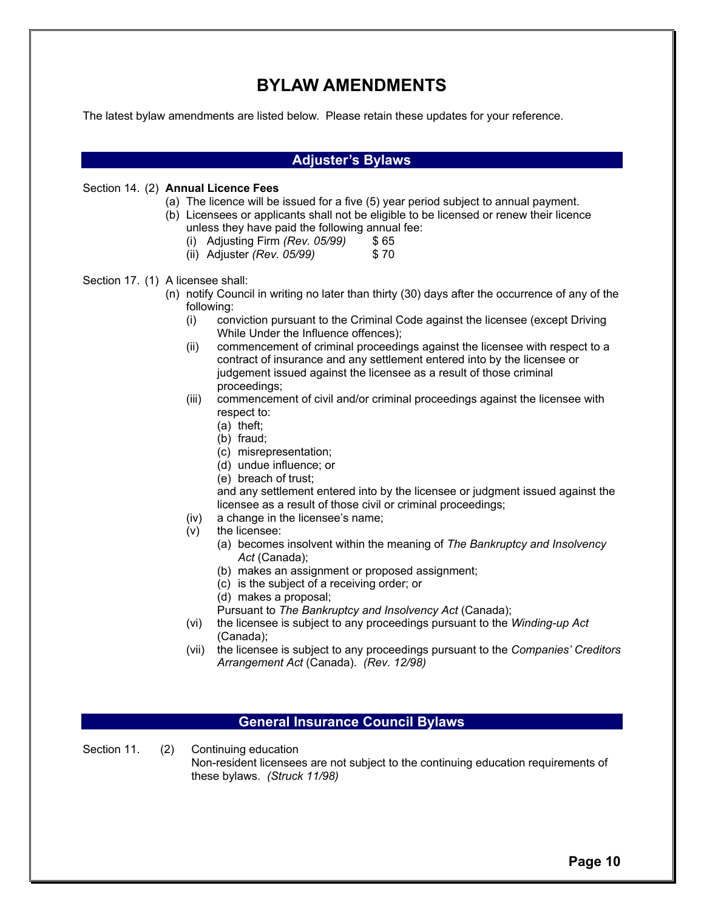# **BYLAW AMENDMENTS**

The latest bylaw amendments are listed below. Please retain these updates for your reference.

|                                   | <b>Adjuster's Bylaws</b>                                                                                                                                                                                                                                                                                                                                                                                                                                                                                                                                                                                                                                                                                                                                                                                                                                                                                                                                                                                                                                                                                                                                                                                                                                                                                                                                                                                                                                                    |  |  |  |
|-----------------------------------|-----------------------------------------------------------------------------------------------------------------------------------------------------------------------------------------------------------------------------------------------------------------------------------------------------------------------------------------------------------------------------------------------------------------------------------------------------------------------------------------------------------------------------------------------------------------------------------------------------------------------------------------------------------------------------------------------------------------------------------------------------------------------------------------------------------------------------------------------------------------------------------------------------------------------------------------------------------------------------------------------------------------------------------------------------------------------------------------------------------------------------------------------------------------------------------------------------------------------------------------------------------------------------------------------------------------------------------------------------------------------------------------------------------------------------------------------------------------------------|--|--|--|
|                                   | Section 14. (2) Annual Licence Fees<br>(a) The licence will be issued for a five (5) year period subject to annual payment.<br>(b) Licensees or applicants shall not be eligible to be licensed or renew their licence<br>unless they have paid the following annual fee:<br>(i) Adjusting Firm (Rev. 05/99)<br>\$ 65<br>(ii) Adjuster (Rev. 05/99)<br>\$70                                                                                                                                                                                                                                                                                                                                                                                                                                                                                                                                                                                                                                                                                                                                                                                                                                                                                                                                                                                                                                                                                                                 |  |  |  |
| Section 17. (1) A licensee shall: | (n) notify Council in writing no later than thirty (30) days after the occurrence of any of the<br>following:<br>conviction pursuant to the Criminal Code against the licensee (except Driving<br>(i)<br>While Under the Influence offences);<br>commencement of criminal proceedings against the licensee with respect to a<br>(ii)<br>contract of insurance and any settlement entered into by the licensee or<br>judgement issued against the licensee as a result of those criminal<br>proceedings;<br>commencement of civil and/or criminal proceedings against the licensee with<br>(iii)<br>respect to:<br>$(a)$ theft;<br>(b) fraud;<br>(c) misrepresentation;<br>(d) undue influence; or<br>(e) breach of trust;<br>and any settlement entered into by the licensee or judgment issued against the<br>licensee as a result of those civil or criminal proceedings;<br>a change in the licensee's name;<br>(iv)<br>the licensee:<br>(v)<br>(a) becomes insolvent within the meaning of The Bankruptcy and Insolvency<br>Act (Canada);<br>(b) makes an assignment or proposed assignment;<br>(c) is the subject of a receiving order; or<br>(d) makes a proposal;<br>Pursuant to The Bankruptcy and Insolvency Act (Canada);<br>the licensee is subject to any proceedings pursuant to the Winding-up Act<br>(vi)<br>(Canada);<br>the licensee is subject to any proceedings pursuant to the Companies' Creditors<br>(vii)<br>Arrangement Act (Canada). (Rev. 12/98) |  |  |  |

# **General Insurance Council Bylaws**

Section 11. (2) Continuing education

 Non-resident licensees are not subject to the continuing education requirements of these bylaws. *(Struck 11/98)*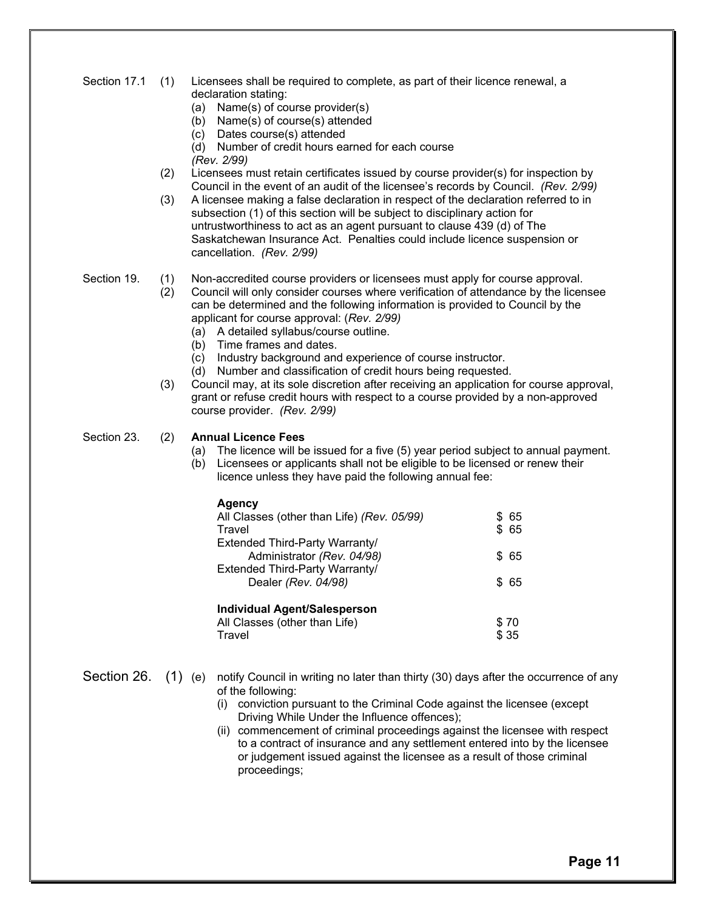|  | Section 17.1 (1) Licensees shall be required to complete, as part of their licence renewal, a |
|--|-----------------------------------------------------------------------------------------------|
|  | declaration stating:                                                                          |

- (a) Name(s) of course provider(s)
- (b) Name(s) of course(s) attended
- (c) Dates course(s) attended
- (d) Number of credit hours earned for each course *(Rev. 2/99)*
- (2) Licensees must retain certificates issued by course provider(s) for inspection by Council in the event of an audit of the licensee's records by Council. *(Rev. 2/99)*
- (3) A licensee making a false declaration in respect of the declaration referred to in subsection (1) of this section will be subject to disciplinary action for untrustworthiness to act as an agent pursuant to clause 439 (d) of The Saskatchewan Insurance Act. Penalties could include licence suspension or cancellation. *(Rev. 2/99)*
- 
- Section 19. (1) Non-accredited course providers or licensees must apply for course approval.
	- (2) Council will only consider courses where verification of attendance by the licensee can be determined and the following information is provided to Council by the applicant for course approval: (*Rev. 2/99)*
		- (a) A detailed syllabus/course outline.
		- (b) Time frames and dates.
		- (c) Industry background and experience of course instructor.
		- (d) Number and classification of credit hours being requested.
	- (3) Council may, at its sole discretion after receiving an application for course approval, grant or refuse credit hours with respect to a course provided by a non-approved course provider. *(Rev. 2/99)*
- 

#### Section 23. (2) **Annual Licence Fees**

- (a) The licence will be issued for a five (5) year period subject to annual payment.
- (b) Licensees or applicants shall not be eligible to be licensed or renew their licence unless they have paid the following annual fee:

| Agency                                     |       |
|--------------------------------------------|-------|
| All Classes (other than Life) (Rev. 05/99) | \$65  |
| Travel                                     | \$ 65 |
| Extended Third-Party Warranty/             |       |
| Administrator (Rev. 04/98)                 | \$65  |
| Extended Third-Party Warranty/             |       |
| Dealer (Rev. 04/98)                        | \$65  |
| <b>Individual Agent/Salesperson</b>        |       |
| All Classes (other than Life)              | \$70  |
| Travel                                     | \$ 35 |

- Section 26. (1) (e) notify Council in writing no later than thirty (30) days after the occurrence of any of the following:
	- (i) conviction pursuant to the Criminal Code against the licensee (except Driving While Under the Influence offences);
	- (ii) commencement of criminal proceedings against the licensee with respect to a contract of insurance and any settlement entered into by the licensee or judgement issued against the licensee as a result of those criminal proceedings;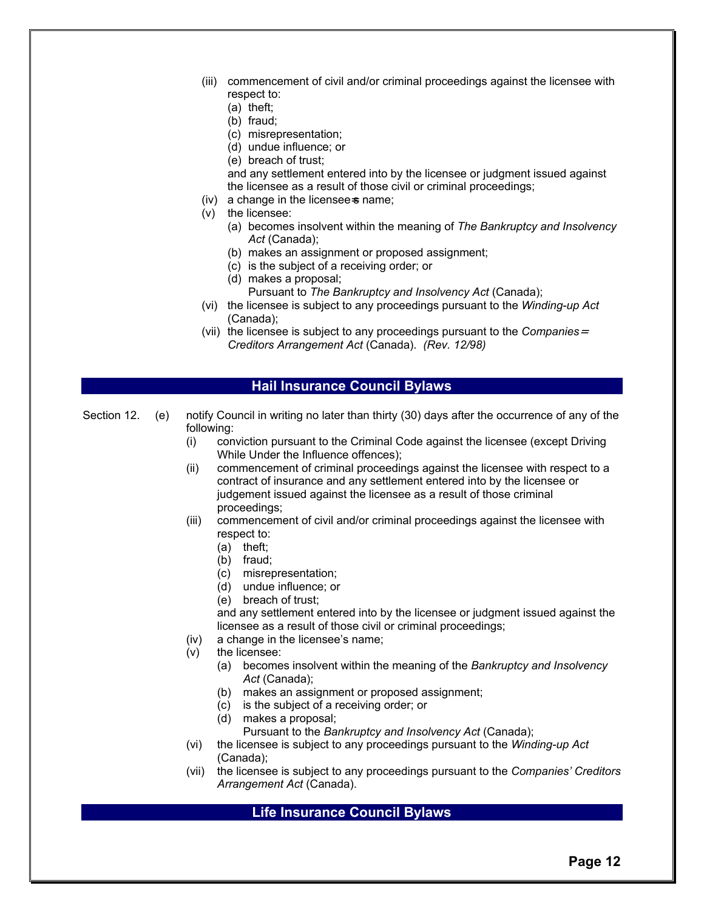- (iii) commencement of civil and/or criminal proceedings against the licensee with respect to:
	- (a) theft;
	- (b) fraud;
	- (c) misrepresentation;
	- (d) undue influence; or
	- (e) breach of trust;

 and any settlement entered into by the licensee or judgment issued against the licensee as a result of those civil or criminal proceedings;

- $(iv)$  a change in the licensee  $\sin$  name;
- (v) the licensee:
	- (a) becomes insolvent within the meaning of *The Bankruptcy and Insolvency*  Act (Canada);
	- (b) makes an assignment or proposed assignment;
	- (c) is the subject of a receiving order; or
	- (d) makes a proposal;
		- Pursuant to *The Bankruptcy and Insolvency Act* (Canada);
- (vi) the licensee is subject to any proceedings pursuant to the *Winding-up Act*  (Canada);
- (vii) the licensee is subject to any proceedings pursuant to the *Companies*<sup>=</sup> *Creditors Arrangement Act* (Canada). *(Rev. 12/98)*

#### **Hail Insurance Council Bylaws**

- Section 12. (e) notify Council in writing no later than thirty (30) days after the occurrence of any of the following:
	- (i) conviction pursuant to the Criminal Code against the licensee (except Driving While Under the Influence offences);
	- (ii) commencement of criminal proceedings against the licensee with respect to a contract of insurance and any settlement entered into by the licensee or judgement issued against the licensee as a result of those criminal proceedings;
	- (iii) commencement of civil and/or criminal proceedings against the licensee with respect to:
		- (a) theft;
		- (b) fraud;
		- (c) misrepresentation;
		- (d) undue influence; or
		- (e) breach of trust;

 and any settlement entered into by the licensee or judgment issued against the licensee as a result of those civil or criminal proceedings;

- (iv) a change in the licensee's name;
- (v) the licensee:
	- (a) becomes insolvent within the meaning of the *Bankruptcy and Insolvency*  Act *(Canada)*;
	- (b) makes an assignment or proposed assignment;
	- (c) is the subject of a receiving order; or
	- (d) makes a proposal;
		- Pursuant to the *Bankruptcy and Insolvency Act* (Canada);
- (vi) the licensee is subject to any proceedings pursuant to the *Winding-up Act*  (Canada);
- (vii) the licensee is subject to any proceedings pursuant to the *Companies' Creditors Arrangement Act* (Canada).

# **Life Insurance Council Bylaws**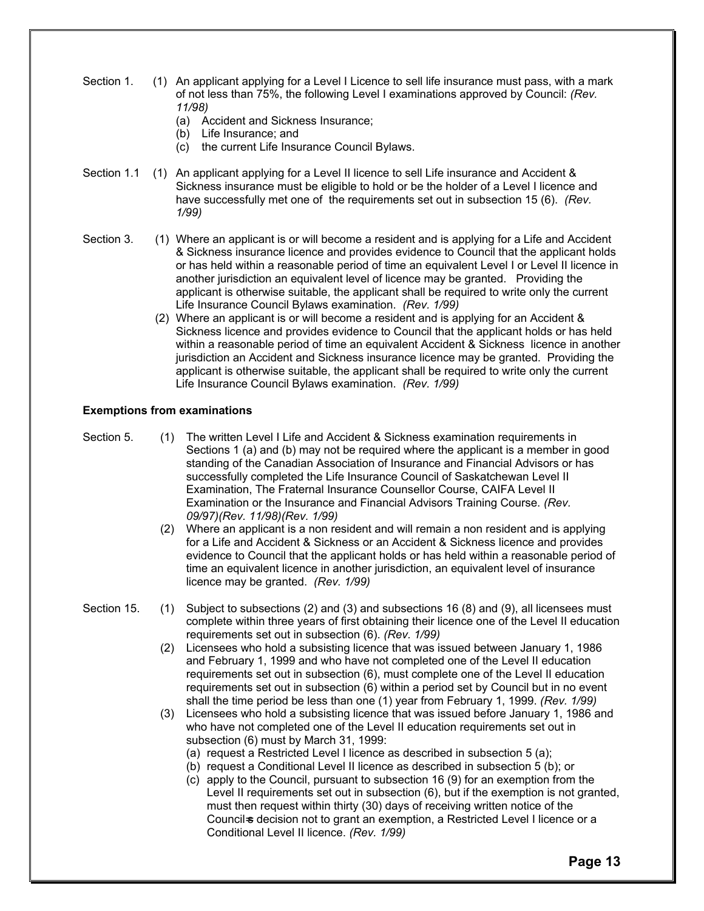- Section 1. (1) An applicant applying for a Level I Licence to sell life insurance must pass, with a mark of not less than 75%, the following Level I examinations approved by Council: *(Rev. 11/98)*
	- (a) Accident and Sickness Insurance;
	- (b) Life Insurance; and
	- (c) the current Life Insurance Council Bylaws.
- Section 1.1 (1) An applicant applying for a Level II licence to sell Life insurance and Accident & Sickness insurance must be eligible to hold or be the holder of a Level I licence and have successfully met one of the requirements set out in subsection 15 (6). *(Rev. 1/99)*
- Section 3. (1) Where an applicant is or will become a resident and is applying for a Life and Accident & Sickness insurance licence and provides evidence to Council that the applicant holds or has held within a reasonable period of time an equivalent Level I or Level II licence in another jurisdiction an equivalent level of licence may be granted. Providing the applicant is otherwise suitable, the applicant shall be required to write only the current Life Insurance Council Bylaws examination. *(Rev. 1/99)*
	- (2) Where an applicant is or will become a resident and is applying for an Accident & Sickness licence and provides evidence to Council that the applicant holds or has held within a reasonable period of time an equivalent Accident & Sickness licence in another jurisdiction an Accident and Sickness insurance licence may be granted. Providing the applicant is otherwise suitable, the applicant shall be required to write only the current Life Insurance Council Bylaws examination. *(Rev. 1/99)*

#### **Exemptions from examinations**

- 
- Section 5. (1) The written Level I Life and Accident & Sickness examination requirements in Sections 1 (a) and (b) may not be required where the applicant is a member in good standing of the Canadian Association of Insurance and Financial Advisors or has successfully completed the Life Insurance Council of Saskatchewan Level II Examination, The Fraternal Insurance Counsellor Course, CAIFA Level II Examination or the Insurance and Financial Advisors Training Course. *(Rev. 09/97)(Rev. 11/98)(Rev. 1/99)* 
	- (2) Where an applicant is a non resident and will remain a non resident and is applying for a Life and Accident & Sickness or an Accident & Sickness licence and provides evidence to Council that the applicant holds or has held within a reasonable period of time an equivalent licence in another jurisdiction, an equivalent level of insurance licence may be granted. *(Rev. 1/99)*
- Section 15. (1) Subject to subsections (2) and (3) and subsections 16 (8) and (9), all licensees must complete within three years of first obtaining their licence one of the Level II education requirements set out in subsection (6). *(Rev. 1/99)* 
	- (2) Licensees who hold a subsisting licence that was issued between January 1, 1986 and February 1, 1999 and who have not completed one of the Level II education requirements set out in subsection (6), must complete one of the Level II education requirements set out in subsection (6) within a period set by Council but in no event shall the time period be less than one (1) year from February 1, 1999. *(Rev. 1/99)*
	- (3) Licensees who hold a subsisting licence that was issued before January 1, 1986 and who have not completed one of the Level II education requirements set out in subsection (6) must by March 31, 1999:
		- (a) request a Restricted Level I licence as described in subsection 5 (a);
		- (b) request a Conditional Level II licence as described in subsection 5 (b); or
		- (c) apply to the Council, pursuant to subsection 16 (9) for an exemption from the Level II requirements set out in subsection (6), but if the exemption is not granted, must then request within thirty (30) days of receiving written notice of the Council s decision not to grant an exemption, a Restricted Level I licence or a Conditional Level II licence. *(Rev. 1/99)*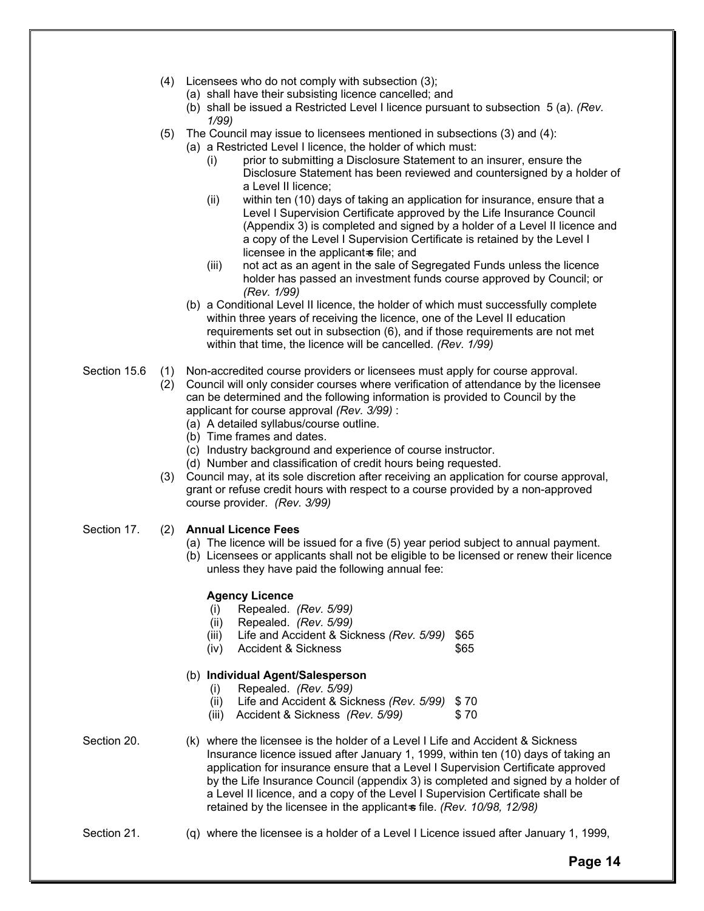- (4) Licensees who do not comply with subsection (3);
	- (a) shall have their subsisting licence cancelled; and
	- (b) shall be issued a Restricted Level I licence pursuant to subsection 5 (a). *(Rev. 1/99)*
- (5) The Council may issue to licensees mentioned in subsections (3) and (4):
	- (a) a Restricted Level I licence, the holder of which must:
		- (i) prior to submitting a Disclosure Statement to an insurer, ensure the Disclosure Statement has been reviewed and countersigned by a holder of a Level II licence;
		- (ii) within ten (10) days of taking an application for insurance, ensure that a Level I Supervision Certificate approved by the Life Insurance Council (Appendix 3) is completed and signed by a holder of a Level II licence and a copy of the Level I Supervision Certificate is retained by the Level I licensee in the applicant $\ast$  file; and
		- (iii) not act as an agent in the sale of Segregated Funds unless the licence holder has passed an investment funds course approved by Council; or *(Rev. 1/99)*
	- (b) a Conditional Level II licence, the holder of which must successfully complete within three years of receiving the licence, one of the Level II education requirements set out in subsection (6), and if those requirements are not met within that time, the licence will be cancelled. *(Rev. 1/99)*
- Section 15.6 (1) Non-accredited course providers or licensees must apply for course approval.
	- (2) Council will only consider courses where verification of attendance by the licensee can be determined and the following information is provided to Council by the applicant for course approval *(Rev. 3/99)* :
		- (a) A detailed syllabus/course outline.
		- (b) Time frames and dates.
		- (c) Industry background and experience of course instructor.
		- (d) Number and classification of credit hours being requested.
	- (3) Council may, at its sole discretion after receiving an application for course approval, grant or refuse credit hours with respect to a course provided by a non-approved course provider. *(Rev. 3/99)*
- Section 17. (2) **Annual Licence Fees**
	- (a) The licence will be issued for a five (5) year period subject to annual payment.
	- (b) Licensees or applicants shall not be eligible to be licensed or renew their licence unless they have paid the following annual fee:

#### **Agency Licence**

- (i) Repealed. *(Rev. 5/99)*
- (ii) Repealed. *(Rev. 5/99)*
- (iii) Life and Accident & Sickness *(Rev. 5/99)* \$65
- (iv) Accident & Sickness \$65

#### (b) **Individual Agent/Salesperson**

- (i) Repealed. *(Rev. 5/99)*
- (ii) Life and Accident & Sickness *(Rev. 5/99)* \$ 70
- (iii) Accident & Sickness *(Rev. 5/99)* \$ 70

Section 20. (k) where the licensee is the holder of a Level I Life and Accident & Sickness Insurance licence issued after January 1, 1999, within ten (10) days of taking an application for insurance ensure that a Level I Supervision Certificate approved by the Life Insurance Council (appendix 3) is completed and signed by a holder of a Level II licence, and a copy of the Level I Supervision Certificate shall be retained by the licensee in the applicant of file. *(Rev. 10/98, 12/98)* 

Section 21. (q) where the licensee is a holder of a Level I Licence issued after January 1, 1999,